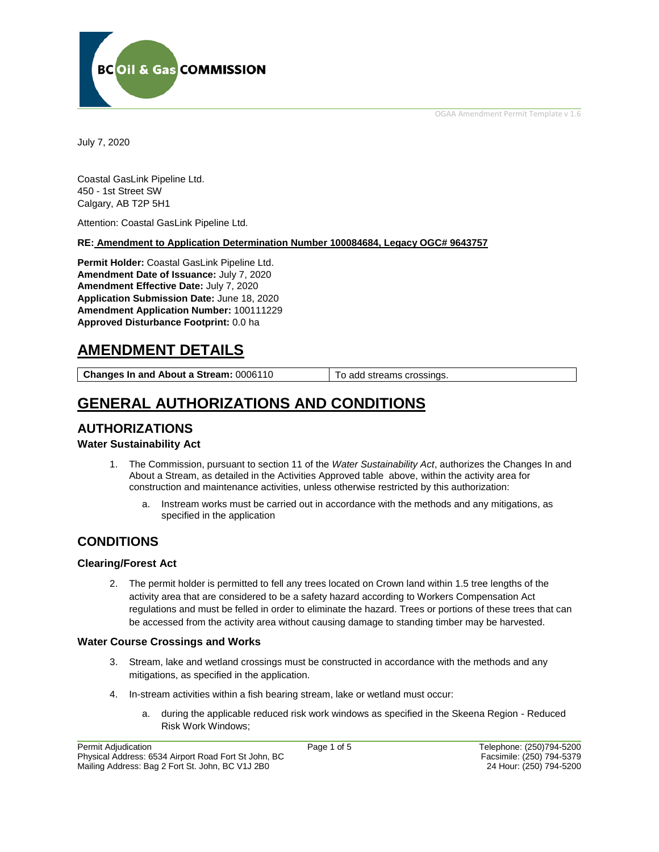OGAA Amendment Permit Template v 1.6



July 7, 2020

Coastal GasLink Pipeline Ltd. 450 - 1st Street SW Calgary, AB T2P 5H1

Attention: Coastal GasLink Pipeline Ltd.

#### **RE: Amendment to Application Determination Number 100084684, Legacy OGC# 9643757**

**Permit Holder:** Coastal GasLink Pipeline Ltd. **Amendment Date of Issuance:** July 7, 2020 **Amendment Effective Date:** July 7, 2020 **Application Submission Date:** June 18, 2020 **Amendment Application Number:** 100111229 **Approved Disturbance Footprint:** 0.0 ha

# **AMENDMENT DETAILS**

**Changes In and About a Stream:** 0006110 To add streams crossings.

# **GENERAL AUTHORIZATIONS AND CONDITIONS**

## **AUTHORIZATIONS**

## **Water Sustainability Act**

- 1. The Commission, pursuant to section 11 of the *Water Sustainability Act*, authorizes the Changes In and About a Stream, as detailed in the Activities Approved table above, within the activity area for construction and maintenance activities, unless otherwise restricted by this authorization:
	- a. Instream works must be carried out in accordance with the methods and any mitigations, as specified in the application

## **CONDITIONS**

## **Clearing/Forest Act**

2. The permit holder is permitted to fell any trees located on Crown land within 1.5 tree lengths of the activity area that are considered to be a safety hazard according to Workers Compensation Act regulations and must be felled in order to eliminate the hazard. Trees or portions of these trees that can be accessed from the activity area without causing damage to standing timber may be harvested.

## **Water Course Crossings and Works**

- 3. Stream, lake and wetland crossings must be constructed in accordance with the methods and any mitigations, as specified in the application.
- 4. In-stream activities within a fish bearing stream, lake or wetland must occur:
	- a. during the applicable reduced risk work windows as specified in the Skeena Region Reduced Risk Work Windows;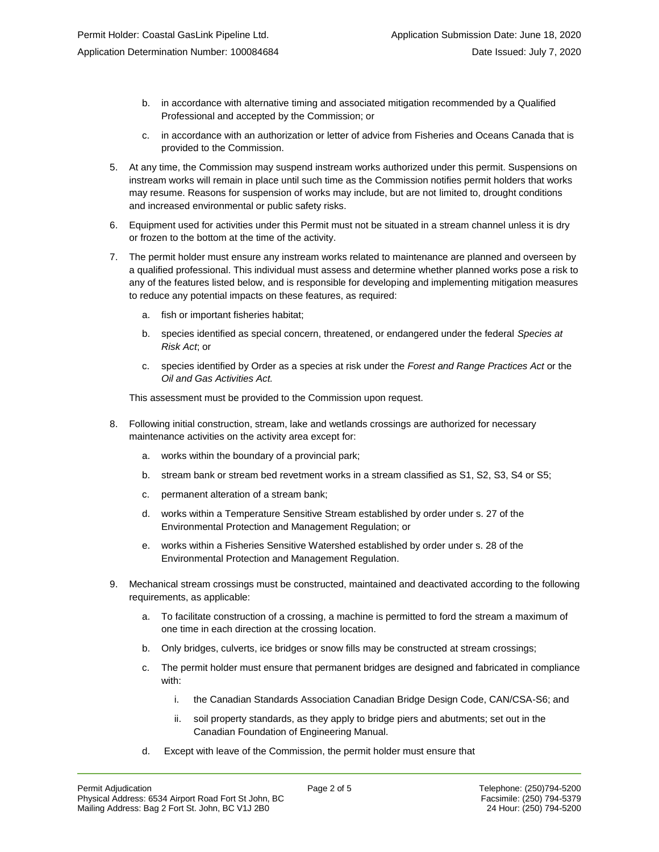- b. in accordance with alternative timing and associated mitigation recommended by a Qualified Professional and accepted by the Commission; or
- c. in accordance with an authorization or letter of advice from Fisheries and Oceans Canada that is provided to the Commission.
- 5. At any time, the Commission may suspend instream works authorized under this permit. Suspensions on instream works will remain in place until such time as the Commission notifies permit holders that works may resume. Reasons for suspension of works may include, but are not limited to, drought conditions and increased environmental or public safety risks.
- 6. Equipment used for activities under this Permit must not be situated in a stream channel unless it is dry or frozen to the bottom at the time of the activity.
- 7. The permit holder must ensure any instream works related to maintenance are planned and overseen by a qualified professional. This individual must assess and determine whether planned works pose a risk to any of the features listed below, and is responsible for developing and implementing mitigation measures to reduce any potential impacts on these features, as required:
	- a. fish or important fisheries habitat;
	- b. species identified as special concern, threatened, or endangered under the federal *Species at Risk Act*; or
	- c. species identified by Order as a species at risk under the *Forest and Range Practices Act* or the *Oil and Gas Activities Act.*

This assessment must be provided to the Commission upon request.

- 8. Following initial construction, stream, lake and wetlands crossings are authorized for necessary maintenance activities on the activity area except for:
	- a. works within the boundary of a provincial park;
	- b. stream bank or stream bed revetment works in a stream classified as S1, S2, S3, S4 or S5;
	- c. permanent alteration of a stream bank;
	- d. works within a Temperature Sensitive Stream established by order under s. 27 of the Environmental Protection and Management Regulation; or
	- e. works within a Fisheries Sensitive Watershed established by order under s. 28 of the Environmental Protection and Management Regulation.
- 9. Mechanical stream crossings must be constructed, maintained and deactivated according to the following requirements, as applicable:
	- a. To facilitate construction of a crossing, a machine is permitted to ford the stream a maximum of one time in each direction at the crossing location.
	- b. Only bridges, culverts, ice bridges or snow fills may be constructed at stream crossings;
	- c. The permit holder must ensure that permanent bridges are designed and fabricated in compliance with:
		- i. the Canadian Standards Association Canadian Bridge Design Code, CAN/CSA-S6; and
		- ii. soil property standards, as they apply to bridge piers and abutments; set out in the Canadian Foundation of Engineering Manual.
	- d. Except with leave of the Commission, the permit holder must ensure that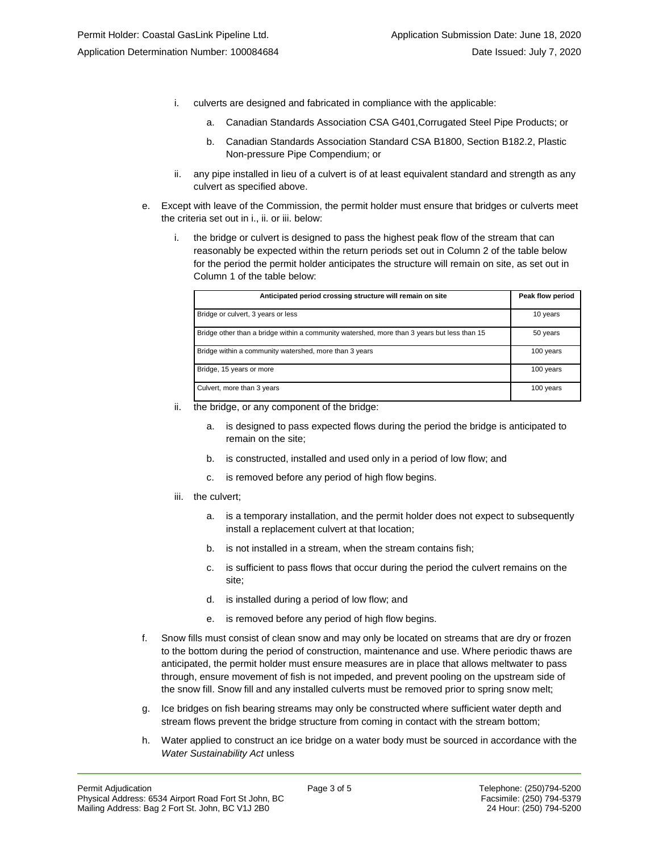- i. culverts are designed and fabricated in compliance with the applicable:
	- a. Canadian Standards Association CSA G401,Corrugated Steel Pipe Products; or
	- b. Canadian Standards Association Standard CSA B1800, Section B182.2, Plastic Non-pressure Pipe Compendium; or
- ii. any pipe installed in lieu of a culvert is of at least equivalent standard and strength as any culvert as specified above.
- e. Except with leave of the Commission, the permit holder must ensure that bridges or culverts meet the criteria set out in i., ii. or iii. below:
	- i. the bridge or culvert is designed to pass the highest peak flow of the stream that can reasonably be expected within the return periods set out in Column 2 of the table below for the period the permit holder anticipates the structure will remain on site, as set out in Column 1 of the table below:

| Anticipated period crossing structure will remain on site                                   | Peak flow period |
|---------------------------------------------------------------------------------------------|------------------|
| Bridge or culvert, 3 years or less                                                          | 10 years         |
| Bridge other than a bridge within a community watershed, more than 3 years but less than 15 | 50 years         |
| Bridge within a community watershed, more than 3 years                                      | 100 years        |
| Bridge, 15 years or more                                                                    | 100 years        |
| Culvert, more than 3 years                                                                  | 100 years        |

- ii. the bridge, or any component of the bridge:
	- a. is designed to pass expected flows during the period the bridge is anticipated to remain on the site;
	- b. is constructed, installed and used only in a period of low flow; and
	- c. is removed before any period of high flow begins.
- iii. the culvert;
	- a. is a temporary installation, and the permit holder does not expect to subsequently install a replacement culvert at that location;
	- b. is not installed in a stream, when the stream contains fish;
	- c. is sufficient to pass flows that occur during the period the culvert remains on the site;
	- d. is installed during a period of low flow; and
	- e. is removed before any period of high flow begins.
- f. Snow fills must consist of clean snow and may only be located on streams that are dry or frozen to the bottom during the period of construction, maintenance and use. Where periodic thaws are anticipated, the permit holder must ensure measures are in place that allows meltwater to pass through, ensure movement of fish is not impeded, and prevent pooling on the upstream side of the snow fill. Snow fill and any installed culverts must be removed prior to spring snow melt;
- g. Ice bridges on fish bearing streams may only be constructed where sufficient water depth and stream flows prevent the bridge structure from coming in contact with the stream bottom;
- h. Water applied to construct an ice bridge on a water body must be sourced in accordance with the *Water Sustainability Act* unless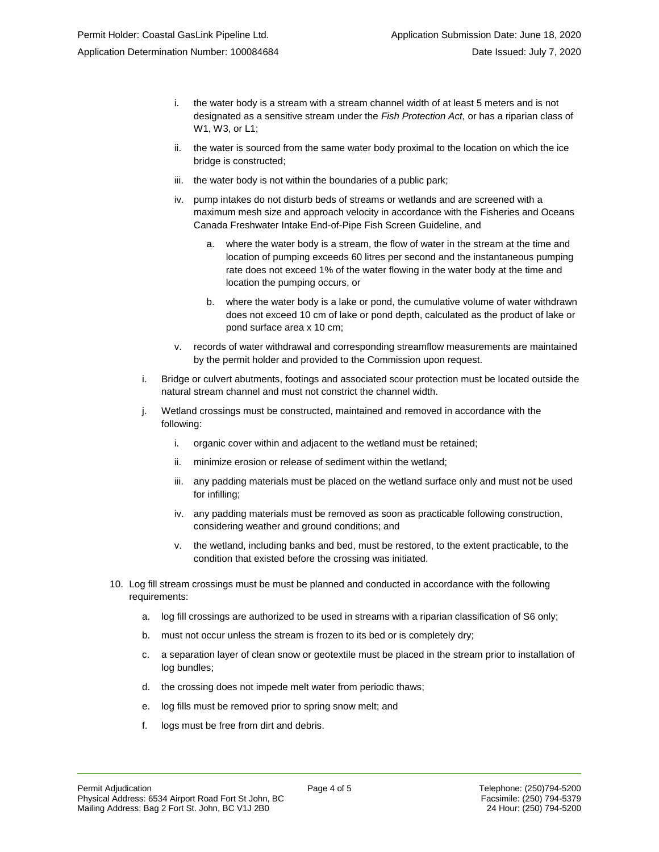- i. the water body is a stream with a stream channel width of at least 5 meters and is not designated as a sensitive stream under the *Fish Protection Act*, or has a riparian class of W1, W3, or L1;
- ii. the water is sourced from the same water body proximal to the location on which the ice bridge is constructed;
- iii. the water body is not within the boundaries of a public park;
- iv. pump intakes do not disturb beds of streams or wetlands and are screened with a maximum mesh size and approach velocity in accordance with the Fisheries and Oceans Canada Freshwater Intake End-of-Pipe Fish Screen Guideline, and
	- a. where the water body is a stream, the flow of water in the stream at the time and location of pumping exceeds 60 litres per second and the instantaneous pumping rate does not exceed 1% of the water flowing in the water body at the time and location the pumping occurs, or
	- b. where the water body is a lake or pond, the cumulative volume of water withdrawn does not exceed 10 cm of lake or pond depth, calculated as the product of lake or pond surface area x 10 cm;
- v. records of water withdrawal and corresponding streamflow measurements are maintained by the permit holder and provided to the Commission upon request.
- i. Bridge or culvert abutments, footings and associated scour protection must be located outside the natural stream channel and must not constrict the channel width.
- j. Wetland crossings must be constructed, maintained and removed in accordance with the following:
	- i. organic cover within and adjacent to the wetland must be retained;
	- ii. minimize erosion or release of sediment within the wetland;
	- iii. any padding materials must be placed on the wetland surface only and must not be used for infilling;
	- iv. any padding materials must be removed as soon as practicable following construction, considering weather and ground conditions; and
	- v. the wetland, including banks and bed, must be restored, to the extent practicable, to the condition that existed before the crossing was initiated.
- 10. Log fill stream crossings must be must be planned and conducted in accordance with the following requirements:
	- a. log fill crossings are authorized to be used in streams with a riparian classification of S6 only;
	- b. must not occur unless the stream is frozen to its bed or is completely dry;
	- c. a separation layer of clean snow or geotextile must be placed in the stream prior to installation of log bundles;
	- d. the crossing does not impede melt water from periodic thaws;
	- e. log fills must be removed prior to spring snow melt; and
	- f. logs must be free from dirt and debris.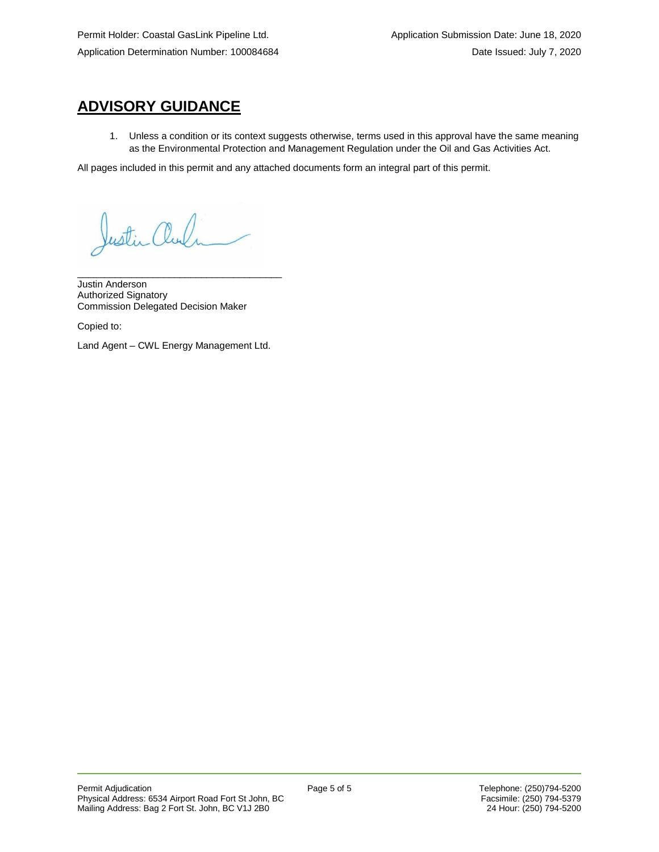# **ADVISORY GUIDANCE**

1. Unless a condition or its context suggests otherwise, terms used in this approval have the same meaning as the Environmental Protection and Management Regulation under the Oil and Gas Activities Act.

All pages included in this permit and any attached documents form an integral part of this permit.

Justin alu

\_\_\_\_\_\_\_\_\_\_\_\_\_\_\_\_\_\_\_\_\_\_\_\_\_\_\_\_\_\_\_\_\_\_\_\_\_\_ Justin Anderson Authorized Signatory Commission Delegated Decision Maker

Copied to:

Land Agent – CWL Energy Management Ltd.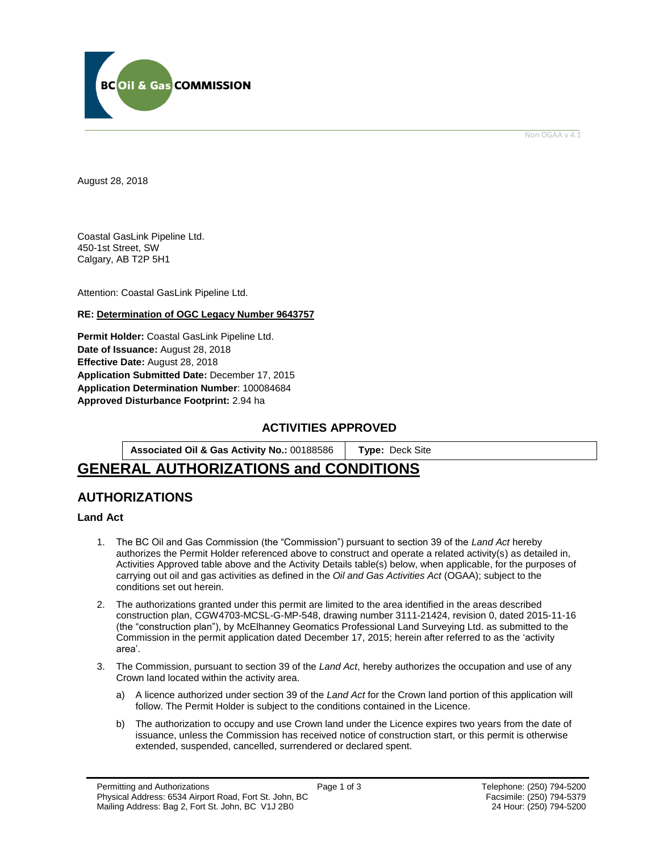

Non OGAA v 4.1

<span id="page-5-0"></span>August 28, 2018

Coastal GasLink Pipeline Ltd. 450-1st Street, SW Calgary, AB T2P 5H1

Attention: Coastal GasLink Pipeline Ltd.

## **RE: Determination of OGC Legacy Number 9643757**

**Permit Holder:** Coastal GasLink Pipeline Ltd. **Date of Issuance:** August 28, 2018 **Effective Date:** August 28, 2018 **Application Submitted Date:** December 17, 2015 **Application Determination Number**: 100084684 **[Approved Disturbance Footprint:](#page-5-0)** 2.94 ha

## **ACTIVITIES APPROVED**

**Associated Oil & Gas Activity No.:** 00188586 **[Type:](https://bi.bcogc.ca/Application%20Processing/Interactive%20Reports/(BIL-041)%20AMS%20Decision%20Summary.aspx)** Deck Site

# **GENERAL AUTHORIZATIONS and CONDITIONS**

## **AUTHORIZATIONS**

## **Land Act**

- 1. The BC Oil and Gas Commission (the "Commission") pursuant to section 39 of the *Land Act* hereby authorizes the Permit Holder referenced above to construct and operate a related activity(s) as detailed in, Activities Approved table above and the Activity Details table(s) below, when applicable, for the purposes of carrying out oil and gas activities as defined in the *Oil and Gas Activities Act* (OGAA); subject to the conditions set out herein.
- 2. The authorizations granted under this permit are limited to the area identified in the areas described construction plan, CGW4703-MCSL-G-MP-548, drawing number 3111-21424, revision 0, dated 2015-11-16 (the "construction plan"), by McElhanney Geomatics Professional Land Surveying Ltd. as submitted to the Commission in the permit application dated December 17, 2015; herein after referred to as the 'activity area'.
- 3. The Commission, pursuant to section 39 of the *Land Act*, hereby authorizes the occupation and use of any Crown land located within the activity area.
	- a) A licence authorized under section 39 of the *Land Act* for the Crown land portion of this application will follow. The Permit Holder is subject to the conditions contained in the Licence.
	- b) The authorization to occupy and use Crown land under the Licence expires two years from the date of issuance, unless the Commission has received notice of construction start, or this permit is otherwise extended, suspended, cancelled, surrendered or declared spent.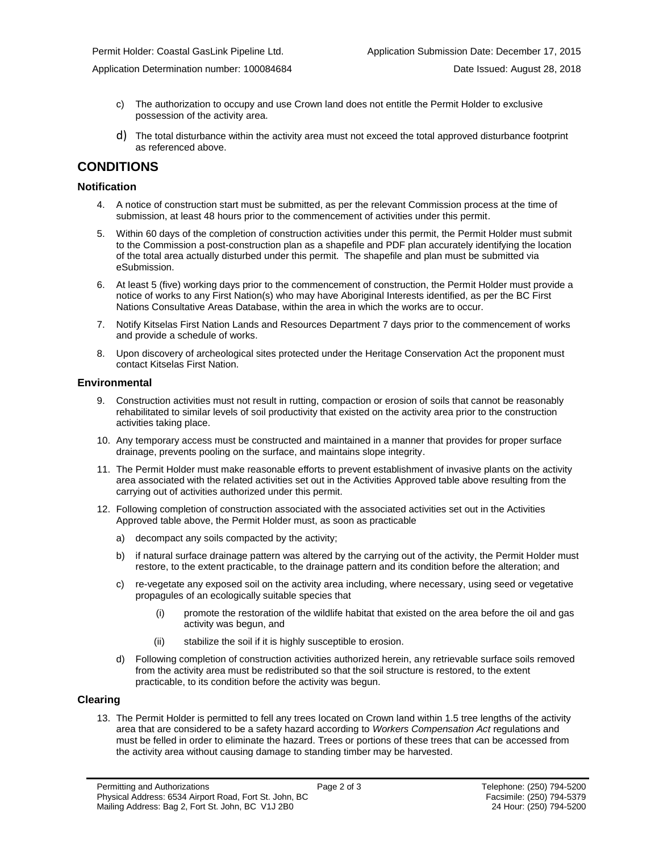Application Determination number: 100084684 Date Issued: August 28, 2018

- c) The authorization to occupy and use Crown land does not entitle the Permit Holder to exclusive possession of the activity area.
- d) The total disturbance within the activity area must not exceed the total approved disturbance footprint as referenced above.

## **CONDITIONS**

#### **Notification**

- 4. A notice of construction start must be submitted, as per the relevant Commission process at the time of submission, at least 48 hours prior to the commencement of activities under this permit.
- 5. Within 60 days of the completion of construction activities under this permit, the Permit Holder must submit to the Commission a post-construction plan as a shapefile and PDF plan accurately identifying the location of the total area actually disturbed under this permit. The shapefile and plan must be submitted via eSubmission.
- 6. At least 5 (five) working days prior to the commencement of construction, the Permit Holder must provide a notice of works to any First Nation(s) who may have Aboriginal Interests identified, as per the BC First Nations Consultative Areas Database, within the area in which the works are to occur.
- 7. Notify Kitselas First Nation Lands and Resources Department 7 days prior to the commencement of works and provide a schedule of works.
- 8. Upon discovery of archeological sites protected under the Heritage Conservation Act the proponent must contact Kitselas First Nation.

#### **Environmental**

- 9. Construction activities must not result in rutting, compaction or erosion of soils that cannot be reasonably rehabilitated to similar levels of soil productivity that existed on the activity area prior to the construction activities taking place.
- 10. Any temporary access must be constructed and maintained in a manner that provides for proper surface drainage, prevents pooling on the surface, and maintains slope integrity.
- 11. The Permit Holder must make reasonable efforts to prevent establishment of invasive plants on the activity area associated with the related activities set out in the Activities Approved table above resulting from the carrying out of activities authorized under this permit.
- 12. Following completion of construction associated with the associated activities set out in the Activities Approved table above, the Permit Holder must, as soon as practicable
	- a) decompact any soils compacted by the activity;
	- b) if natural surface drainage pattern was altered by the carrying out of the activity, the Permit Holder must restore, to the extent practicable, to the drainage pattern and its condition before the alteration; and
	- c) re-vegetate any exposed soil on the activity area including, where necessary, using seed or vegetative propagules of an ecologically suitable species that
		- (i) promote the restoration of the wildlife habitat that existed on the area before the oil and gas activity was begun, and
		- (ii) stabilize the soil if it is highly susceptible to erosion.
	- d) Following completion of construction activities authorized herein, any retrievable surface soils removed from the activity area must be redistributed so that the soil structure is restored, to the extent practicable, to its condition before the activity was begun.

#### **Clearing**

13. The Permit Holder is permitted to fell any trees located on Crown land within 1.5 tree lengths of the activity area that are considered to be a safety hazard according to *Workers Compensation Act* regulations and must be felled in order to eliminate the hazard. Trees or portions of these trees that can be accessed from the activity area without causing damage to standing timber may be harvested.